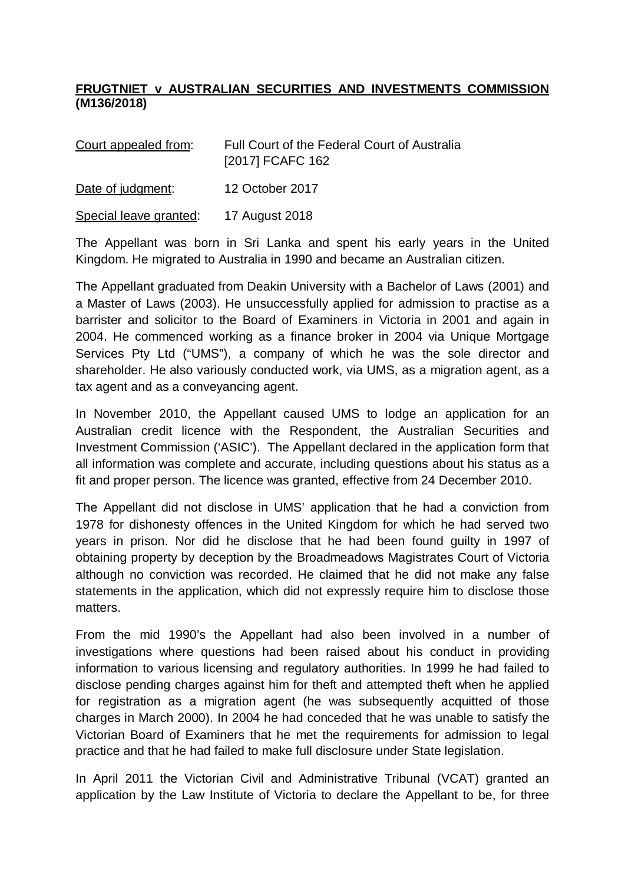## **FRUGTNIET v AUSTRALIAN SECURITIES AND INVESTMENTS COMMISSION (M136/2018)**

| Court appealed from:   | Full Court of the Federal Court of Australia<br>[2017] FCAFC 162 |
|------------------------|------------------------------------------------------------------|
| Date of judgment:      | 12 October 2017                                                  |
| Special leave granted: | 17 August 2018                                                   |

The Appellant was born in Sri Lanka and spent his early years in the United Kingdom. He migrated to Australia in 1990 and became an Australian citizen.

The Appellant graduated from Deakin University with a Bachelor of Laws (2001) and a Master of Laws (2003). He unsuccessfully applied for admission to practise as a barrister and solicitor to the Board of Examiners in Victoria in 2001 and again in 2004. He commenced working as a finance broker in 2004 via Unique Mortgage Services Pty Ltd ("UMS"), a company of which he was the sole director and shareholder. He also variously conducted work, via UMS, as a migration agent, as a tax agent and as a conveyancing agent.

In November 2010, the Appellant caused UMS to lodge an application for an Australian credit licence with the Respondent, the Australian Securities and Investment Commission ('ASIC'). The Appellant declared in the application form that all information was complete and accurate, including questions about his status as a fit and proper person. The licence was granted, effective from 24 December 2010.

The Appellant did not disclose in UMS' application that he had a conviction from 1978 for dishonesty offences in the United Kingdom for which he had served two years in prison. Nor did he disclose that he had been found guilty in 1997 of obtaining property by deception by the Broadmeadows Magistrates Court of Victoria although no conviction was recorded. He claimed that he did not make any false statements in the application, which did not expressly require him to disclose those matters.

From the mid 1990's the Appellant had also been involved in a number of investigations where questions had been raised about his conduct in providing information to various licensing and regulatory authorities. In 1999 he had failed to disclose pending charges against him for theft and attempted theft when he applied for registration as a migration agent (he was subsequently acquitted of those charges in March 2000). In 2004 he had conceded that he was unable to satisfy the Victorian Board of Examiners that he met the requirements for admission to legal practice and that he had failed to make full disclosure under State legislation.

In April 2011 the Victorian Civil and Administrative Tribunal (VCAT) granted an application by the Law Institute of Victoria to declare the Appellant to be, for three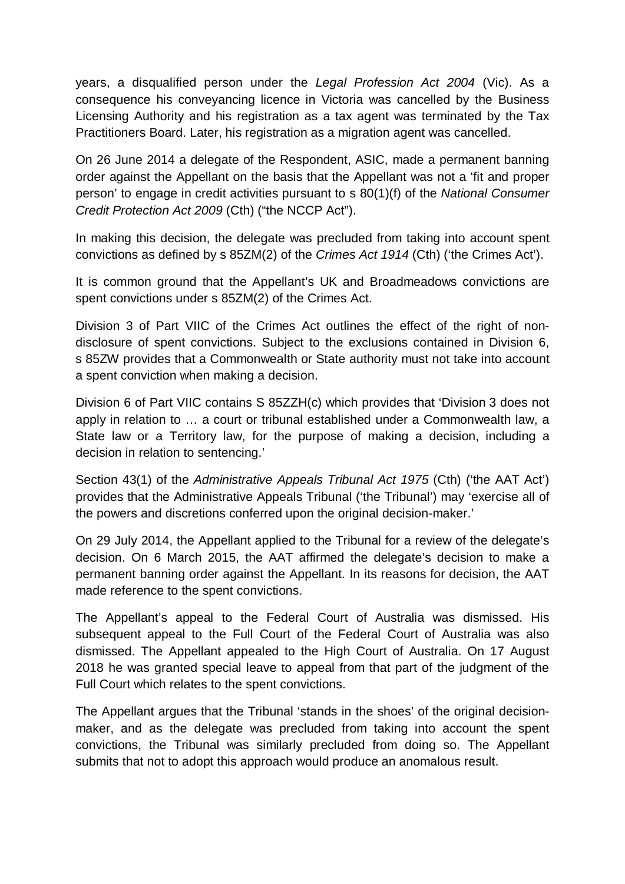years, a disqualified person under the *Legal Profession Act 2004* (Vic). As a consequence his conveyancing licence in Victoria was cancelled by the Business Licensing Authority and his registration as a tax agent was terminated by the Tax Practitioners Board. Later, his registration as a migration agent was cancelled.

On 26 June 2014 a delegate of the Respondent, ASIC, made a permanent banning order against the Appellant on the basis that the Appellant was not a 'fit and proper person' to engage in credit activities pursuant to s 80(1)(f) of the *National Consumer Credit Protection Act 2009* (Cth) ("the NCCP Act").

In making this decision, the delegate was precluded from taking into account spent convictions as defined by s 85ZM(2) of the *Crimes Act 1914* (Cth) ('the Crimes Act').

It is common ground that the Appellant's UK and Broadmeadows convictions are spent convictions under s 85ZM(2) of the Crimes Act.

Division 3 of Part VIIC of the Crimes Act outlines the effect of the right of nondisclosure of spent convictions. Subject to the exclusions contained in Division 6, s 85ZW provides that a Commonwealth or State authority must not take into account a spent conviction when making a decision.

Division 6 of Part VIIC contains S 85ZZH(c) which provides that 'Division 3 does not apply in relation to … a court or tribunal established under a Commonwealth law, a State law or a Territory law, for the purpose of making a decision, including a decision in relation to sentencing.'

Section 43(1) of the *Administrative Appeals Tribunal Act 1975* (Cth) ('the AAT Act') provides that the Administrative Appeals Tribunal ('the Tribunal') may 'exercise all of the powers and discretions conferred upon the original decision-maker.'

On 29 July 2014, the Appellant applied to the Tribunal for a review of the delegate's decision. On 6 March 2015, the AAT affirmed the delegate's decision to make a permanent banning order against the Appellant. In its reasons for decision, the AAT made reference to the spent convictions.

The Appellant's appeal to the Federal Court of Australia was dismissed. His subsequent appeal to the Full Court of the Federal Court of Australia was also dismissed. The Appellant appealed to the High Court of Australia. On 17 August 2018 he was granted special leave to appeal from that part of the judgment of the Full Court which relates to the spent convictions.

The Appellant argues that the Tribunal 'stands in the shoes' of the original decisionmaker, and as the delegate was precluded from taking into account the spent convictions, the Tribunal was similarly precluded from doing so. The Appellant submits that not to adopt this approach would produce an anomalous result.